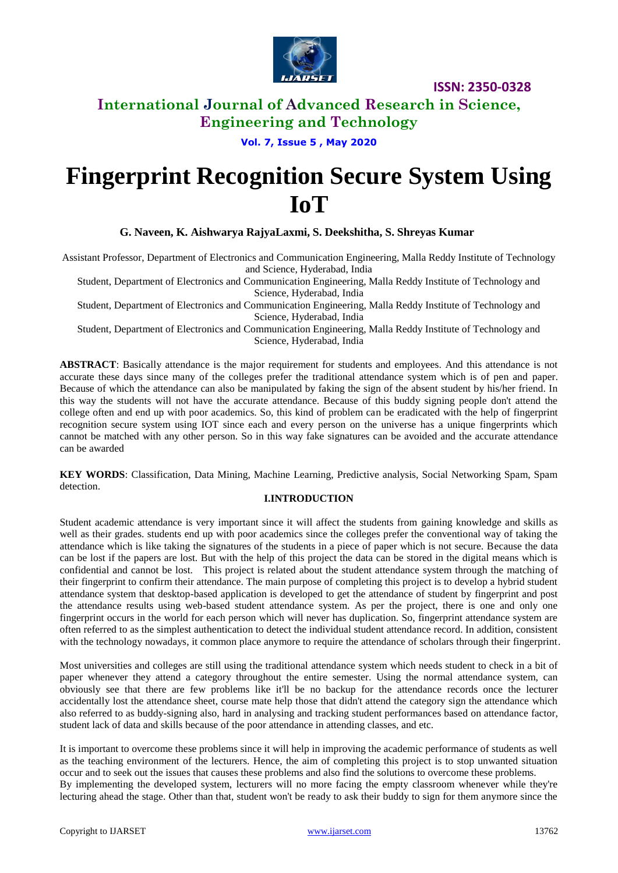

## **International Journal of Advanced Research in Science, Engineering and Technology**

**Vol. 7, Issue 5 , May 2020**

# **Fingerprint Recognition Secure System Using IoT**

 **G. Naveen, K. Aishwarya RajyaLaxmi, S. Deekshitha, S. Shreyas Kumar**

Assistant Professor, Department of Electronics and Communication Engineering, Malla Reddy Institute of Technology and Science, Hyderabad, India

Student, Department of Electronics and Communication Engineering, Malla Reddy Institute of Technology and Science, Hyderabad, India

Student, Department of Electronics and Communication Engineering, Malla Reddy Institute of Technology and Science, Hyderabad, India

Student, Department of Electronics and Communication Engineering, Malla Reddy Institute of Technology and Science, Hyderabad, India

**ABSTRACT**: Basically attendance is the major requirement for students and employees. And this attendance is not accurate these days since many of the colleges prefer the traditional attendance system which is of pen and paper. Because of which the attendance can also be manipulated by faking the sign of the absent student by his/her friend. In this way the students will not have the accurate attendance. Because of this buddy signing people don't attend the college often and end up with poor academics. So, this kind of problem can be eradicated with the help of fingerprint recognition secure system using IOT since each and every person on the universe has a unique fingerprints which cannot be matched with any other person. So in this way fake signatures can be avoided and the accurate attendance can be awarded

**KEY WORDS**: Classification, Data Mining, Machine Learning, Predictive analysis, Social Networking Spam, Spam detection.

#### **I.INTRODUCTION**

Student academic attendance is very important since it will affect the students from gaining knowledge and skills as well as their grades. students end up with poor academics since the colleges prefer the conventional way of taking the attendance which is like taking the signatures of the students in a piece of paper which is not secure. Because the data can be lost if the papers are lost. But with the help of this project the data can be stored in the digital means which is confidential and cannot be lost. This project is related about the student attendance system through the matching of their fingerprint to confirm their attendance. The main purpose of completing this project is to develop a hybrid student attendance system that desktop-based application is developed to get the attendance of student by fingerprint and post the attendance results using web-based student attendance system. As per the project, there is one and only one fingerprint occurs in the world for each person which will never has duplication. So, fingerprint attendance system are often referred to as the simplest authentication to detect the individual student attendance record. In addition, consistent with the technology nowadays, it common place anymore to require the attendance of scholars through their fingerprint.

Most universities and colleges are still using the traditional attendance system which needs student to check in a bit of paper whenever they attend a category throughout the entire semester. Using the normal attendance system, can obviously see that there are few problems like it'll be no backup for the attendance records once the lecturer accidentally lost the attendance sheet, course mate help those that didn't attend the category sign the attendance which also referred to as buddy-signing also, hard in analysing and tracking student performances based on attendance factor, student lack of data and skills because of the poor attendance in attending classes, and etc.

It is important to overcome these problems since it will help in improving the academic performance of students as well as the teaching environment of the lecturers. Hence, the aim of completing this project is to stop unwanted situation occur and to seek out the issues that causes these problems and also find the solutions to overcome these problems. By implementing the developed system, lecturers will no more facing the empty classroom whenever while they're lecturing ahead the stage. Other than that, student won't be ready to ask their buddy to sign for them anymore since the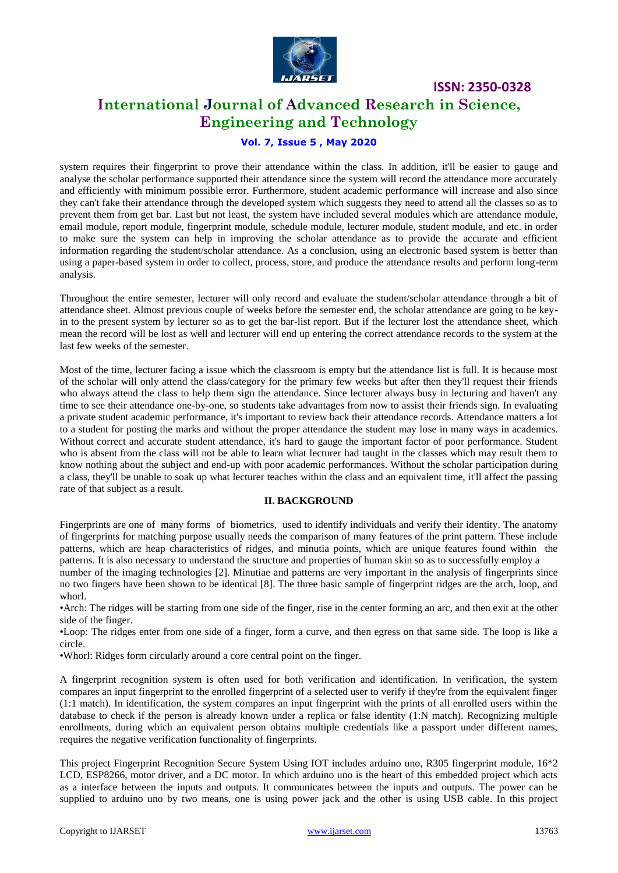

## **International Journal of Advanced Research in Science, Engineering and Technology**

#### **Vol. 7, Issue 5 , May 2020**

system requires their fingerprint to prove their attendance within the class. In addition, it'll be easier to gauge and analyse the scholar performance supported their attendance since the system will record the attendance more accurately and efficiently with minimum possible error. Furthermore, student academic performance will increase and also since they can't fake their attendance through the developed system which suggests they need to attend all the classes so as to prevent them from get bar. Last but not least, the system have included several modules which are attendance module, email module, report module, fingerprint module, schedule module, lecturer module, student module, and etc. in order to make sure the system can help in improving the scholar attendance as to provide the accurate and efficient information regarding the student/scholar attendance. As a conclusion, using an electronic based system is better than using a paper-based system in order to collect, process, store, and produce the attendance results and perform long-term analysis.

Throughout the entire semester, lecturer will only record and evaluate the student/scholar attendance through a bit of attendance sheet. Almost previous couple of weeks before the semester end, the scholar attendance are going to be keyin to the present system by lecturer so as to get the bar-list report. But if the lecturer lost the attendance sheet, which mean the record will be lost as well and lecturer will end up entering the correct attendance records to the system at the last few weeks of the semester.

Most of the time, lecturer facing a issue which the classroom is empty but the attendance list is full. It is because most of the scholar will only attend the class/category for the primary few weeks but after then they'll request their friends who always attend the class to help them sign the attendance. Since lecturer always busy in lecturing and haven't any time to see their attendance one-by-one, so students take advantages from now to assist their friends sign. In evaluating a private student academic performance, it's important to review back their attendance records. Attendance matters a lot to a student for posting the marks and without the proper attendance the student may lose in many ways in academics. Without correct and accurate student attendance, it's hard to gauge the important factor of poor performance. Student who is absent from the class will not be able to learn what lecturer had taught in the classes which may result them to know nothing about the subject and end-up with poor academic performances. Without the scholar participation during a class, they'll be unable to soak up what lecturer teaches within the class and an equivalent time, it'll affect the passing rate of that subject as a result.

#### **II. BACKGROUND**

Fingerprints are one of many forms of biometrics, used to identify individuals and verify their identity. The anatomy of fingerprints for matching purpose usually needs the comparison of many features of the print pattern. These include patterns, which are heap characteristics of ridges, and minutia points, which are unique features found within the patterns. It is also necessary to understand the structure and properties of human skin so as to successfully employ a

number of the imaging technologies [2]. Minutiae and patterns are very important in the analysis of fingerprints since no two fingers have been shown to be identical [8]. The three basic sample of fingerprint ridges are the arch, loop, and whorl.

•Arch: The ridges will be starting from one side of the finger, rise in the center forming an arc, and then exit at the other side of the finger.

•Loop: The ridges enter from one side of a finger, form a curve, and then egress on that same side. The loop is like a circle.

•Whorl: Ridges form circularly around a core central point on the finger.

A fingerprint recognition system is often used for both verification and identification. In verification, the system compares an input fingerprint to the enrolled fingerprint of a selected user to verify if they're from the equivalent finger (1:1 match). In identification, the system compares an input fingerprint with the prints of all enrolled users within the database to check if the person is already known under a replica or false identity (1:N match). Recognizing multiple enrollments, during which an equivalent person obtains multiple credentials like a passport under different names, requires the negative verification functionality of fingerprints.

This project Fingerprint Recognition Secure System Using IOT includes arduino uno, R305 fingerprint module, 16\*2 LCD, ESP8266, motor driver, and a DC motor. In which arduino uno is the heart of this embedded project which acts as a interface between the inputs and outputs. It communicates between the inputs and outputs. The power can be supplied to arduino uno by two means, one is using power jack and the other is using USB cable. In this project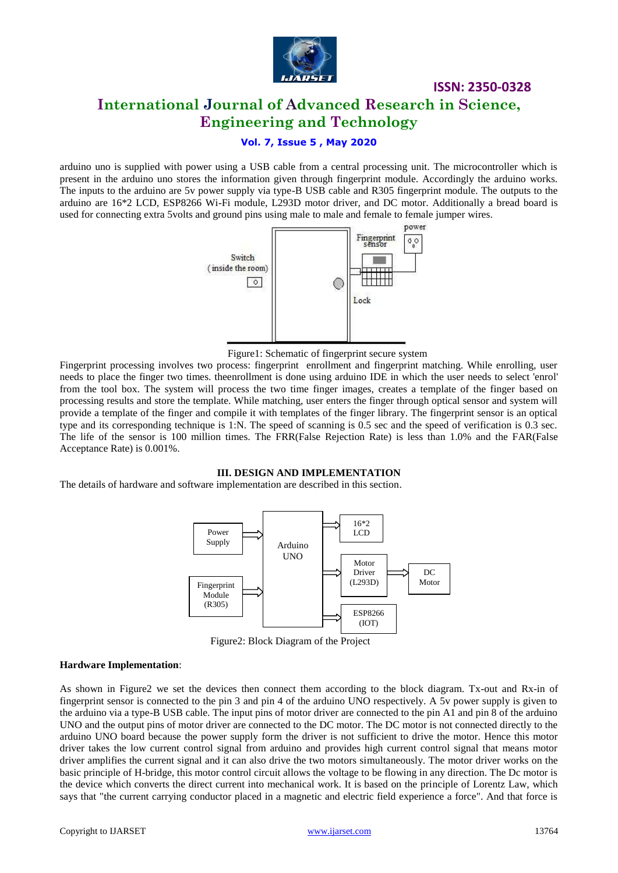

## **International Journal of Advanced Research in Science, Engineering and Technology**

**ISSN: 2350-0328**

#### **Vol. 7, Issue 5 , May 2020**

arduino uno is supplied with power using a USB cable from a central processing unit. The microcontroller which is present in the arduino uno stores the information given through fingerprint module. Accordingly the arduino works. The inputs to the arduino are 5v power supply via type-B USB cable and R305 fingerprint module. The outputs to the arduino are 16\*2 LCD, ESP8266 Wi-Fi module, L293D motor driver, and DC motor. Additionally a bread board is used for connecting extra 5volts and ground pins using male to male and female to female jumper wires.



Figure1: Schematic of fingerprint secure system

Fingerprint processing involves two process: fingerprint enrollment and fingerprint matching. While enrolling, user needs to place the finger two times. theenrollment is done using arduino IDE in which the user needs to select 'enrol' from the tool box. The system will process the two time finger images, creates a template of the finger based on processing results and store the template. While matching, user enters the finger through optical sensor and system will provide a template of the finger and compile it with templates of the finger library. The fingerprint sensor is an optical type and its corresponding technique is 1:N. The speed of scanning is 0.5 sec and the speed of verification is 0.3 sec. The life of the sensor is 100 million times. The FRR(False Rejection Rate) is less than 1.0% and the FAR(False Acceptance Rate) is 0.001%.

#### **III. DESIGN AND IMPLEMENTATION**

The details of hardware and software implementation are described in this section.



Figure2: Block Diagram of the Project

#### **Hardware Implementation**:

As shown in Figure2 we set the devices then connect them according to the block diagram. Tx-out and Rx-in of fingerprint sensor is connected to the pin 3 and pin 4 of the arduino UNO respectively. A 5v power supply is given to the arduino via a type-B USB cable. The input pins of motor driver are connected to the pin A1 and pin 8 of the arduino UNO and the output pins of motor driver are connected to the DC motor. The DC motor is not connected directly to the arduino UNO board because the power supply form the driver is not sufficient to drive the motor. Hence this motor driver takes the low current control signal from arduino and provides high current control signal that means motor driver amplifies the current signal and it can also drive the two motors simultaneously. The motor driver works on the basic principle of H-bridge, this motor control circuit allows the voltage to be flowing in any direction. The Dc motor is the device which converts the direct current into mechanical work. It is based on the principle of Lorentz Law, which says that "the current carrying conductor placed in a magnetic and electric field experience a force". And that force is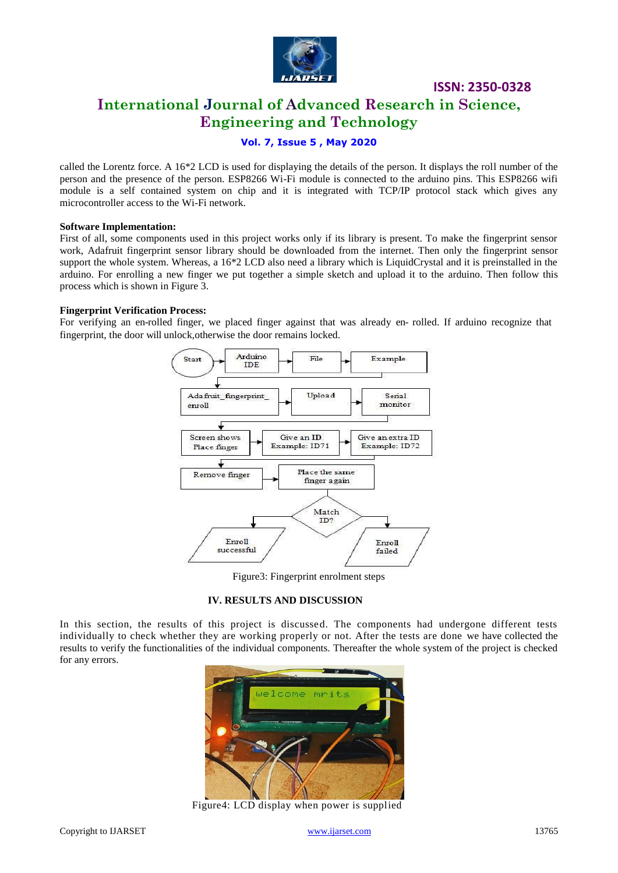

## **International Journal of Advanced Research in Science, Engineering and Technology**

#### **Vol. 7, Issue 5 , May 2020**

called the Lorentz force. A 16\*2 LCD is used for displaying the details of the person. It displays the roll number of the person and the presence of the person. ESP8266 Wi-Fi module is connected to the arduino pins. This ESP8266 wifi module is a self contained system on chip and it is integrated with TCP/IP protocol stack which gives any microcontroller access to the Wi-Fi network.

#### **Software Implementation:**

First of all, some components used in this project works only if its library is present. To make the fingerprint sensor work, Adafruit fingerprint sensor library should be downloaded from the internet. Then only the fingerprint sensor support the whole system. Whereas, a 16\*2 LCD also need a library which is LiquidCrystal and it is preinstalled in the arduino. For enrolling a new finger we put together a simple sketch and upload it to the arduino. Then follow this process which is shown in Figure 3.

#### **Fingerprint Verification Process:**

For verifying an en-rolled finger, we placed finger against that was already en- rolled. If arduino recognize that fingerprint, the door will unlock,otherwise the door remains locked.



Figure3: Fingerprint enrolment steps

#### **IV. RESULTS AND DISCUSSION**

In this section, the results of this project is discussed. The components had undergone different tests individually to check whether they are working properly or not. After the tests are done we have collected the results to verify the functionalities of the individual components. Thereafter the whole system of the project is checked for any errors.



Figure4: LCD display when power is supplied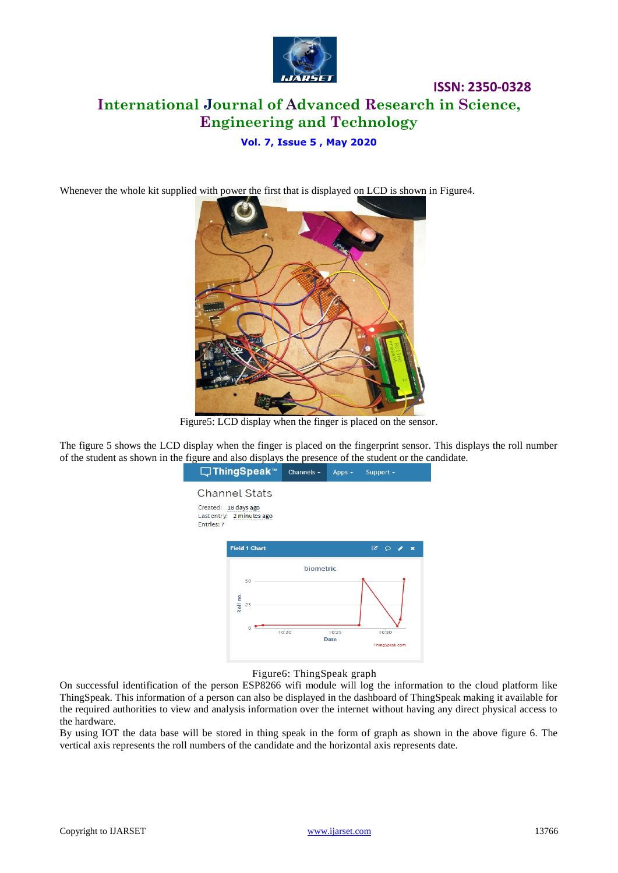

## **ISSN: 2350-0328 International Journal of Advanced Research in Science, Engineering and Technology**

#### **Vol. 7, Issue 5 , May 2020**

Whenever the whole kit supplied with power the first that is displayed on LCD is shown in Figure4.



Figure5: LCD display when the finger is placed on the sensor.

The figure 5 shows the LCD display when the finger is placed on the fingerprint sensor. This displays the roll number of the student as shown in the figure and also displays the presence of the student or the candidate.



Figure6: ThingSpeak graph

On successful identification of the person ESP8266 wifi module will log the information to the cloud platform like ThingSpeak. This information of a person can also be displayed in the dashboard of ThingSpeak making it available for the required authorities to view and analysis information over the internet without having any direct physical access to the hardware.

By using IOT the data base will be stored in thing speak in the form of graph as shown in the above figure 6. The vertical axis represents the roll numbers of the candidate and the horizontal axis represents date.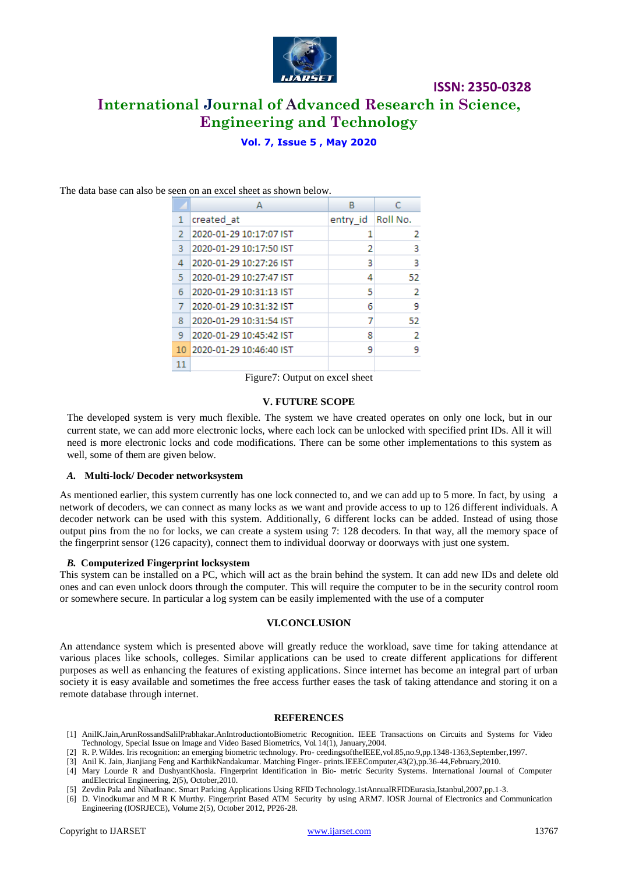

## **ISSN: 2350-0328 International Journal of Advanced Research in Science,**

## **Engineering and Technology**

#### **Vol. 7, Issue 5 , May 2020**

|    | А                          | R                   |    |
|----|----------------------------|---------------------|----|
| 1  | created at                 | entry_id   Roll No. |    |
| 2  | 2020-01-29 10:17:07 IST    |                     | 2  |
| з  | 2020-01-29 10:17:50 IST    | 2                   | з  |
| 4  | 2020-01-29 10:27:26 IST    | 3                   | 3  |
| 5  | 2020-01-29 10:27:47 IST    |                     | 52 |
| 6  | 2020-01-29 10:31:13 IST    | 5                   | 2  |
|    | 2020-01-29 10:31:32 IST    | 6                   | 9  |
| 8  | 2020-01-29 10:31:54 IST    |                     | 52 |
| 9  | 2020-01-29 10:45:42 IST    | 8                   | 2  |
|    | 10 2020-01-29 10:46:40 IST | ٩                   | ٩  |
| 11 |                            |                     |    |

The data base can also be seen on an excel sheet as shown below.

Figure7: Output on excel sheet

#### **V. FUTURE SCOPE**

The developed system is very much flexible. The system we have created operates on only one lock, but in our current state, we can add more electronic locks, where each lock can be unlocked with specified print IDs. All it will need is more electronic locks and code modifications. There can be some other implementations to this system as well, some of them are given below.

#### *A.* **Multi-lock/ Decoder networksystem**

As mentioned earlier, this system currently has one lock connected to, and we can add up to 5 more. In fact, by using a network of decoders, we can connect as many locks as we want and provide access to up to 126 different individuals. A decoder network can be used with this system. Additionally, 6 different locks can be added. Instead of using those output pins from the no for locks, we can create a system using 7: 128 decoders. In that way, all the memory space of the fingerprint sensor (126 capacity), connect them to individual doorway or doorways with just one system.

#### *B.* **Computerized Fingerprint locksystem**

This system can be installed on a PC, which will act as the brain behind the system. It can add new IDs and delete old ones and can even unlock doors through the computer. This will require the computer to be in the security control room or somewhere secure. In particular a log system can be easily implemented with the use of a computer

#### **VI.CONCLUSION**

An attendance system which is presented above will greatly reduce the workload, save time for taking attendance at various places like schools, colleges. Similar applications can be used to create different applications for different purposes as well as enhancing the features of existing applications. Since internet has become an integral part of urban society it is easy available and sometimes the free access further eases the task of taking attendance and storing it on a remote database through internet.

#### **REFERENCES**

- [1] AnilK.Jain,ArunRossandSalilPrabhakar.AnIntroductiontoBiometric Recognition. IEEE Transactions on Circuits and Systems for Video Technology, Special Issue on Image and Video Based Biometrics, Vol. 14(1), January,2004.
- [2] R. P. Wildes. Iris recognition: an emerging biometric technology. Pro- ceedingsoftheIEEE,vol.85,no.9,pp.1348-1363,September,1997.
- [3] Anil K. Jain, Jianjiang Feng and KarthikNandakumar. Matching Finger- prints.IEEEComputer,43(2),pp.36-44,February,2010.
- [4] Mary Lourde R and DushyantKhosla. Fingerprint Identification in Bio- metric Security Systems. International Journal of Computer andElectrical Engineering, 2(5), October,2010.
- [5] Zevdin Pala and NihatInanc. Smart Parking Applications Using RFID Technology.1stAnnualRFIDEurasia,Istanbul,2007,pp.1-3.
- [6] D. Vinodkumar and M R K Murthy. Fingerprint Based ATM Security by using ARM7. IOSR Journal of Electronics and Communication Engineering (IOSRJECE), Volume 2(5), October 2012, PP26-28.